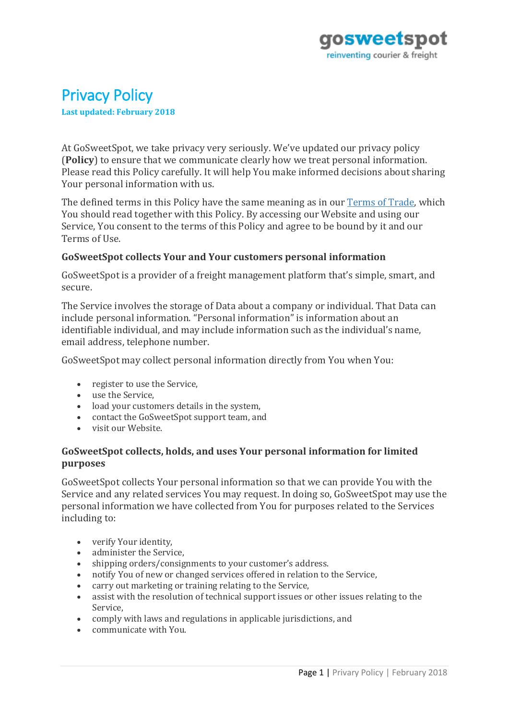

# Privacy Policy

**Last updated: February 2018**

At GoSweetSpot, we take privacy very seriously. We've updated our privacy policy (**Policy**) to ensure that we communicate clearly how we treat personal information. Please read this Policy carefully. It will help You make informed decisions about sharing Your personal information with us.

The defined terms in this Policy have the same meaning as in our [Terms of Trade,](https://gosweetspot.com/TermsOfTrade) which You should read together with this Policy. By accessing our Website and using our Service, You consent to the terms of this Policy and agree to be bound by it and our Terms of Use.

### **GoSweetSpot collects Your and Your customers personal information**

GoSweetSpot is a provider of a freight management platform that's simple, smart, and secure.

The Service involves the storage of Data about a company or individual. That Data can include personal information. "Personal information" is information about an identifiable individual, and may include information such as the individual's name, email address, telephone number.

GoSweetSpot may collect personal information directly from You when You:

- register to use the Service,
- use the Service,
- load your customers details in the system,
- contact the GoSweetSpot support team, and
- visit our Website.

### **GoSweetSpot collects, holds, and uses Your personal information for limited purposes**

GoSweetSpot collects Your personal information so that we can provide You with the Service and any related services You may request. In doing so, GoSweetSpot may use the personal information we have collected from You for purposes related to the Services including to:

- verify Your identity,
- administer the Service,
- shipping orders/consignments to your customer's address.
- notify You of new or changed services offered in relation to the Service,
- carry out marketing or training relating to the Service,
- assist with the resolution of technical support issues or other issues relating to the Service,
- comply with laws and regulations in applicable jurisdictions, and
- communicate with You.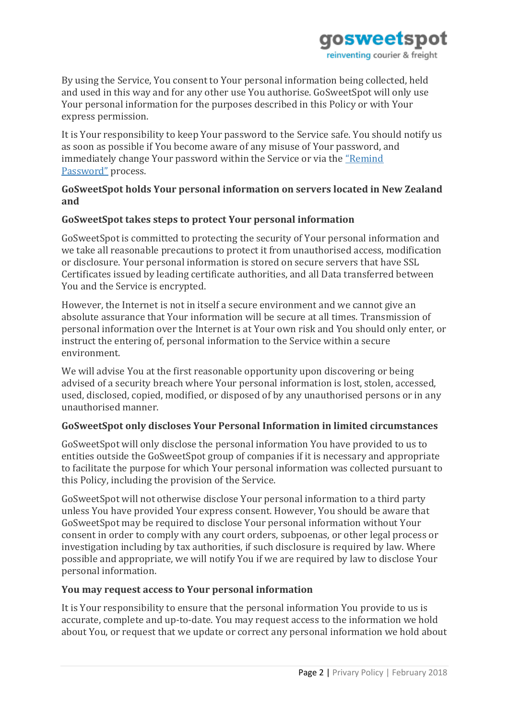

By using the Service, You consent to Your personal information being collected, held and used in this way and for any other use You authorise. GoSweetSpot will only use Your personal information for the purposes described in this Policy or with Your express permission.

It is Your responsibility to keep Your password to the Service safe. You should notify us as soon as possible if You become aware of any misuse of Your password, and immediately change Your password within the Service or via the ["Remind](https://ship.gosweetspot.com/account/resetpassword)  [Password"](https://ship.gosweetspot.com/account/resetpassword) process.

## **GoSweetSpot holds Your personal information on servers located in New Zealand and**

## **GoSweetSpot takes steps to protect Your personal information**

GoSweetSpot is committed to protecting the security of Your personal information and we take all reasonable precautions to protect it from unauthorised access, modification or disclosure. Your personal information is stored on secure servers that have SSL Certificates issued by leading certificate authorities, and all Data transferred between You and the Service is encrypted.

However, the Internet is not in itself a secure environment and we cannot give an absolute assurance that Your information will be secure at all times. Transmission of personal information over the Internet is at Your own risk and You should only enter, or instruct the entering of, personal information to the Service within a secure environment.

We will advise You at the first reasonable opportunity upon discovering or being advised of a security breach where Your personal information is lost, stolen, accessed, used, disclosed, copied, modified, or disposed of by any unauthorised persons or in any unauthorised manner.

### **GoSweetSpot only discloses Your Personal Information in limited circumstances**

GoSweetSpot will only disclose the personal information You have provided to us to entities outside the GoSweetSpot group of companies if it is necessary and appropriate to facilitate the purpose for which Your personal information was collected pursuant to this Policy, including the provision of the Service.

GoSweetSpot will not otherwise disclose Your personal information to a third party unless You have provided Your express consent. However, You should be aware that GoSweetSpot may be required to disclose Your personal information without Your consent in order to comply with any court orders, subpoenas, or other legal process or investigation including by tax authorities, if such disclosure is required by law. Where possible and appropriate, we will notify You if we are required by law to disclose Your personal information.

### **You may request access to Your personal information**

It is Your responsibility to ensure that the personal information You provide to us is accurate, complete and up-to-date. You may request access to the information we hold about You, or request that we update or correct any personal information we hold about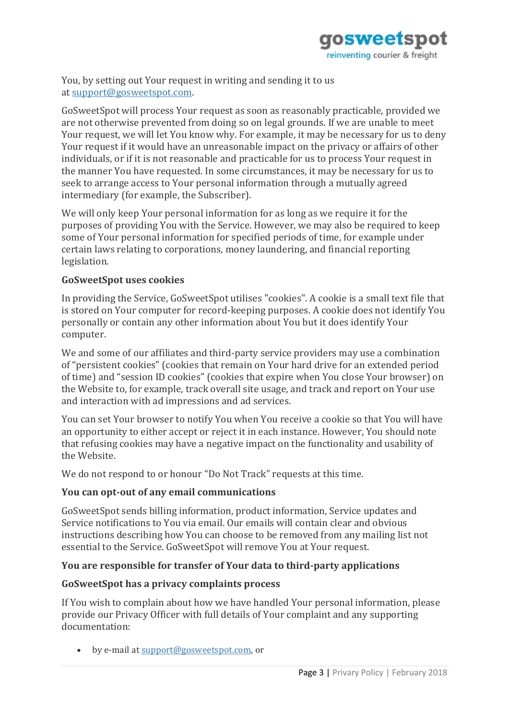

You, by setting out Your request in writing and sending it to us at [support@gosweetspot.com.](mailto:support@gosweetspot.com)

GoSweetSpot will process Your request as soon as reasonably practicable, provided we are not otherwise prevented from doing so on legal grounds. If we are unable to meet Your request, we will let You know why. For example, it may be necessary for us to deny Your request if it would have an unreasonable impact on the privacy or affairs of other individuals, or if it is not reasonable and practicable for us to process Your request in the manner You have requested. In some circumstances, it may be necessary for us to seek to arrange access to Your personal information through a mutually agreed intermediary (for example, the Subscriber).

We will only keep Your personal information for as long as we require it for the purposes of providing You with the Service. However, we may also be required to keep some of Your personal information for specified periods of time, for example under certain laws relating to corporations, money laundering, and financial reporting legislation.

### **GoSweetSpot uses cookies**

In providing the Service, GoSweetSpot utilises "cookies". A cookie is a small text file that is stored on Your computer for record-keeping purposes. A cookie does not identify You personally or contain any other information about You but it does identify Your computer.

We and some of our affiliates and third-party service providers may use a combination of "persistent cookies" (cookies that remain on Your hard drive for an extended period of time) and "session ID cookies" (cookies that expire when You close Your browser) on the Website to, for example, track overall site usage, and track and report on Your use and interaction with ad impressions and ad services.

You can set Your browser to notify You when You receive a cookie so that You will have an opportunity to either accept or reject it in each instance. However, You should note that refusing cookies may have a negative impact on the functionality and usability of the Website.

We do not respond to or honour "Do Not Track" requests at this time.

### **You can opt-out of any email communications**

GoSweetSpot sends billing information, product information, Service updates and Service notifications to You via email. Our emails will contain clear and obvious instructions describing how You can choose to be removed from any mailing list not essential to the Service. GoSweetSpot will remove You at Your request.

## **You are responsible for transfer of Your data to third-party applications**

### **GoSweetSpot has a privacy complaints process**

If You wish to complain about how we have handled Your personal information, please provide our Privacy Officer with full details of Your complaint and any supporting documentation:

• by e-mail at [support@gosweetspot.com,](mailto:support@gosweetspot.com) or